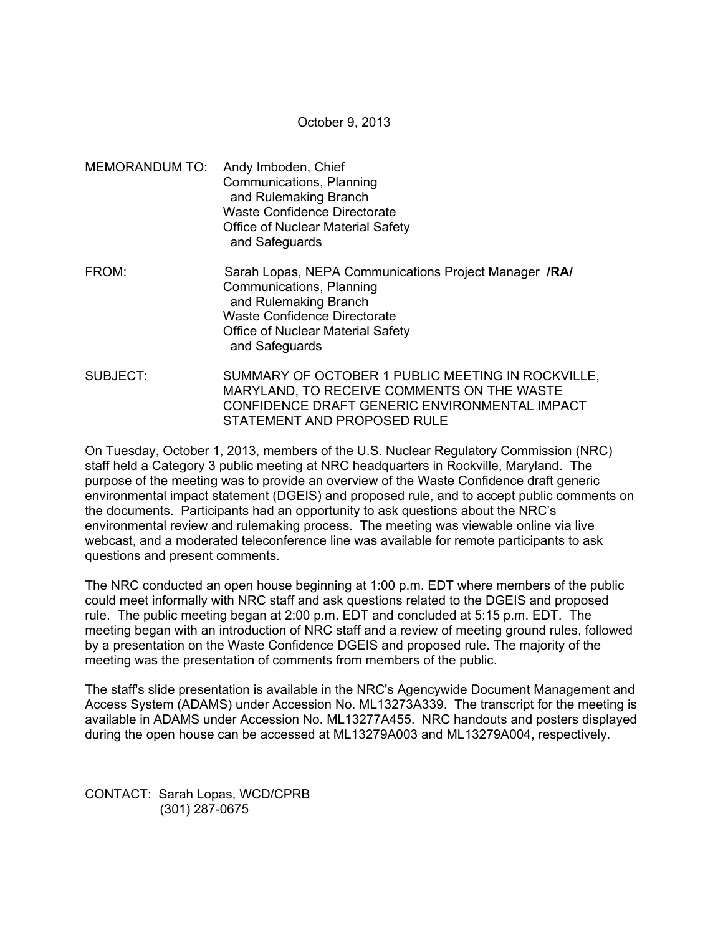October 9, 2013

- MEMORANDUM TO: Andy Imboden, Chief Communications, Planning and Rulemaking Branch Waste Confidence Directorate Office of Nuclear Material Safety and Safeguards
- FROM: Sarah Lopas, NEPA Communications Project Manager **/RA/**  Communications, Planning and Rulemaking Branch Waste Confidence Directorate Office of Nuclear Material Safety and Safeguards
- SUBJECT: SUMMARY OF OCTOBER 1 PUBLIC MEETING IN ROCKVILLE, MARYLAND, TO RECEIVE COMMENTS ON THE WASTE CONFIDENCE DRAFT GENERIC ENVIRONMENTAL IMPACT STATEMENT AND PROPOSED RULE

On Tuesday, October 1, 2013, members of the U.S. Nuclear Regulatory Commission (NRC) staff held a Category 3 public meeting at NRC headquarters in Rockville, Maryland. The purpose of the meeting was to provide an overview of the Waste Confidence draft generic environmental impact statement (DGEIS) and proposed rule, and to accept public comments on the documents. Participants had an opportunity to ask questions about the NRC's environmental review and rulemaking process. The meeting was viewable online via live webcast, and a moderated teleconference line was available for remote participants to ask questions and present comments.

The NRC conducted an open house beginning at 1:00 p.m. EDT where members of the public could meet informally with NRC staff and ask questions related to the DGEIS and proposed rule. The public meeting began at 2:00 p.m. EDT and concluded at 5:15 p.m. EDT. The meeting began with an introduction of NRC staff and a review of meeting ground rules, followed by a presentation on the Waste Confidence DGEIS and proposed rule. The majority of the meeting was the presentation of comments from members of the public.

The staff's slide presentation is available in the NRC's Agencywide Document Management and Access System (ADAMS) under Accession No. ML13273A339. The transcript for the meeting is available in ADAMS under Accession No. ML13277A455. NRC handouts and posters displayed during the open house can be accessed at ML13279A003 and ML13279A004, respectively.

CONTACT: Sarah Lopas, WCD/CPRB (301) 287-0675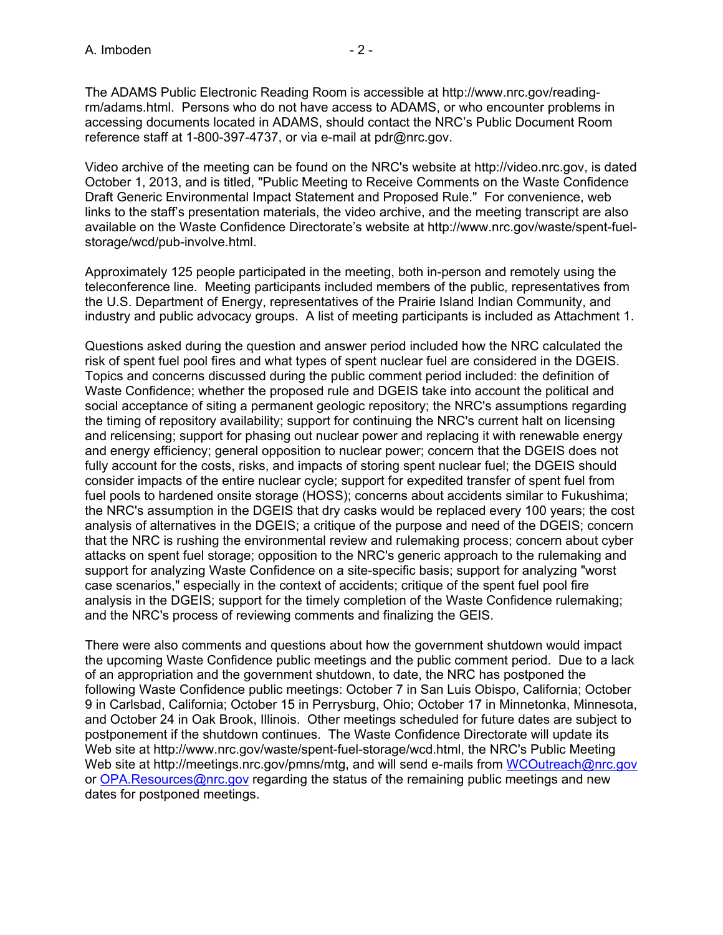The ADAMS Public Electronic Reading Room is accessible at http://www.nrc.gov/readingrm/adams.html. Persons who do not have access to ADAMS, or who encounter problems in accessing documents located in ADAMS, should contact the NRC's Public Document Room reference staff at 1-800-397-4737, or via e-mail at pdr@nrc.gov.

Video archive of the meeting can be found on the NRC's website at http://video.nrc.gov, is dated October 1, 2013, and is titled, "Public Meeting to Receive Comments on the Waste Confidence Draft Generic Environmental Impact Statement and Proposed Rule." For convenience, web links to the staff's presentation materials, the video archive, and the meeting transcript are also available on the Waste Confidence Directorate's website at http://www.nrc.gov/waste/spent-fuelstorage/wcd/pub-involve.html.

Approximately 125 people participated in the meeting, both in-person and remotely using the teleconference line. Meeting participants included members of the public, representatives from the U.S. Department of Energy, representatives of the Prairie Island Indian Community, and industry and public advocacy groups. A list of meeting participants is included as Attachment 1.

Questions asked during the question and answer period included how the NRC calculated the risk of spent fuel pool fires and what types of spent nuclear fuel are considered in the DGEIS. Topics and concerns discussed during the public comment period included: the definition of Waste Confidence; whether the proposed rule and DGEIS take into account the political and social acceptance of siting a permanent geologic repository; the NRC's assumptions regarding the timing of repository availability; support for continuing the NRC's current halt on licensing and relicensing; support for phasing out nuclear power and replacing it with renewable energy and energy efficiency; general opposition to nuclear power; concern that the DGEIS does not fully account for the costs, risks, and impacts of storing spent nuclear fuel; the DGEIS should consider impacts of the entire nuclear cycle; support for expedited transfer of spent fuel from fuel pools to hardened onsite storage (HOSS); concerns about accidents similar to Fukushima; the NRC's assumption in the DGEIS that dry casks would be replaced every 100 years; the cost analysis of alternatives in the DGEIS; a critique of the purpose and need of the DGEIS; concern that the NRC is rushing the environmental review and rulemaking process; concern about cyber attacks on spent fuel storage; opposition to the NRC's generic approach to the rulemaking and support for analyzing Waste Confidence on a site-specific basis; support for analyzing "worst case scenarios," especially in the context of accidents; critique of the spent fuel pool fire analysis in the DGEIS; support for the timely completion of the Waste Confidence rulemaking; and the NRC's process of reviewing comments and finalizing the GEIS.

There were also comments and questions about how the government shutdown would impact the upcoming Waste Confidence public meetings and the public comment period. Due to a lack of an appropriation and the government shutdown, to date, the NRC has postponed the following Waste Confidence public meetings: October 7 in San Luis Obispo, California; October 9 in Carlsbad, California; October 15 in Perrysburg, Ohio; October 17 in Minnetonka, Minnesota, and October 24 in Oak Brook, Illinois. Other meetings scheduled for future dates are subject to postponement if the shutdown continues. The Waste Confidence Directorate will update its Web site at http://www.nrc.gov/waste/spent-fuel-storage/wcd.html, the NRC's Public Meeting Web site at http://meetings.nrc.gov/pmns/mtg, and will send e-mails from WCOutreach@nrc.gov or OPA. Resources@nrc.gov regarding the status of the remaining public meetings and new dates for postponed meetings.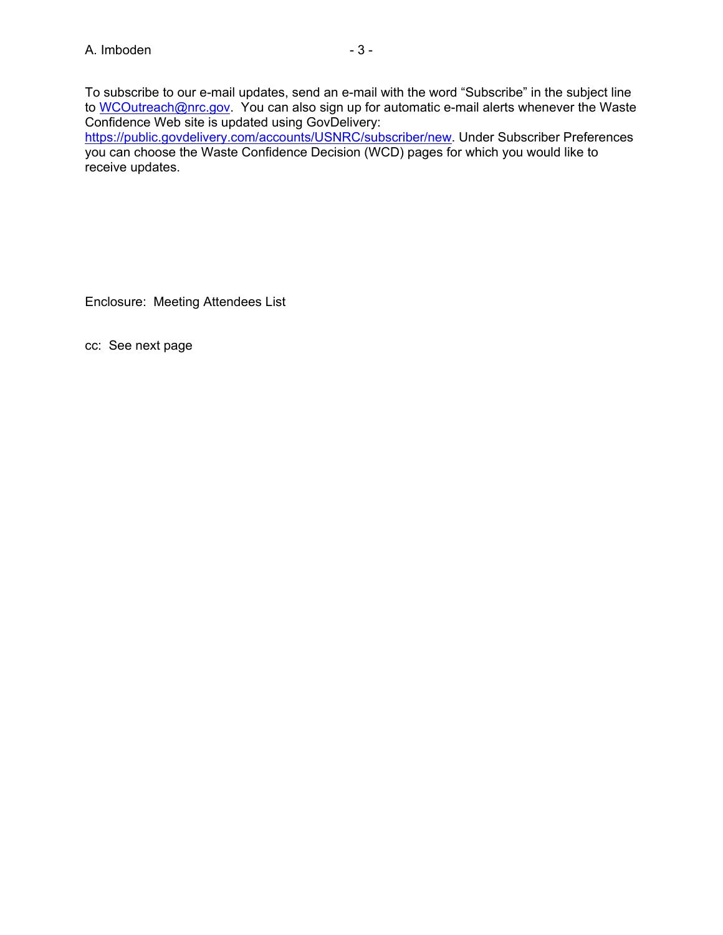To subscribe to our e-mail updates, send an e-mail with the word "Subscribe" in the subject line to WCOutreach@nrc.gov. You can also sign up for automatic e-mail alerts whenever the Waste Confidence Web site is updated using GovDelivery:

https://public.govdelivery.com/accounts/USNRC/subscriber/new. Under Subscriber Preferences you can choose the Waste Confidence Decision (WCD) pages for which you would like to receive updates.

Enclosure: Meeting Attendees List

cc: See next page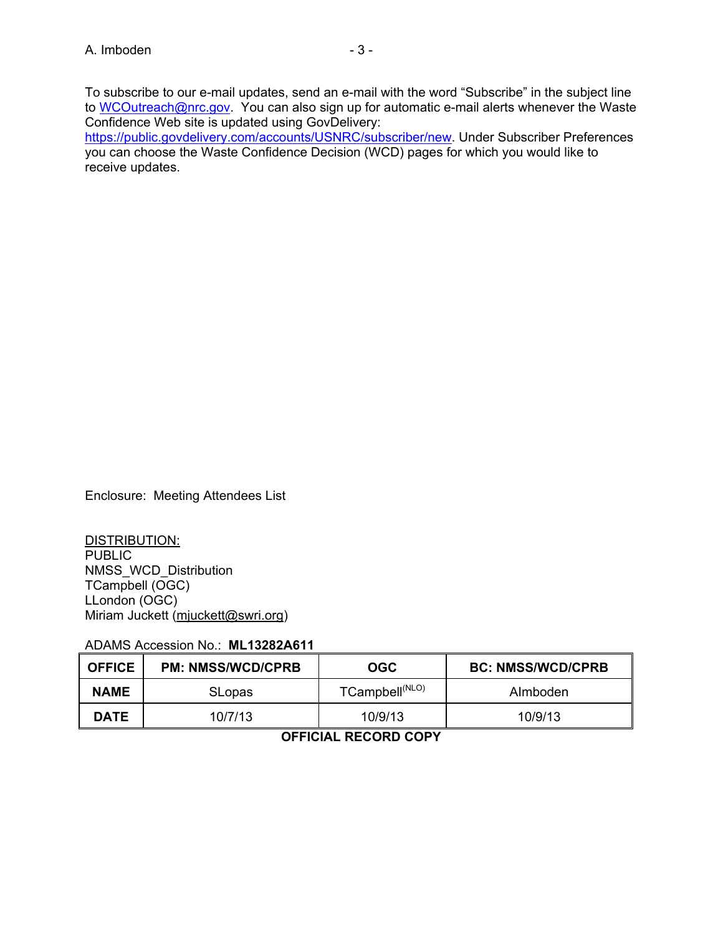Confidence Web site is updated using GovDelivery: https://public.govdelivery.com/accounts/USNRC/subscriber/new. Under Subscriber Preferences you can choose the Waste Confidence Decision (WCD) pages for which you would like to receive updates.

Enclosure: Meeting Attendees List

DISTRIBUTION: PUBLIC NMSS\_WCD\_Distribution TCampbell (OGC) LLondon (OGC) Miriam Juckett (mjuckett@swri.org)

ADAMS Accession No.: **ML13282A611**

| I OFFICE    | <b>PM: NMSS/WCD/CPRB</b> | OGC                        | <b>BC: NMSS/WCD/CPRB</b> |
|-------------|--------------------------|----------------------------|--------------------------|
| <b>NAME</b> | <b>SLopas</b>            | TCampbell <sup>(NLO)</sup> | Almboden                 |
| <b>DATE</b> | 10/7/13                  | 10/9/13                    | 10/9/13                  |

## **OFFICIAL RECORD COPY**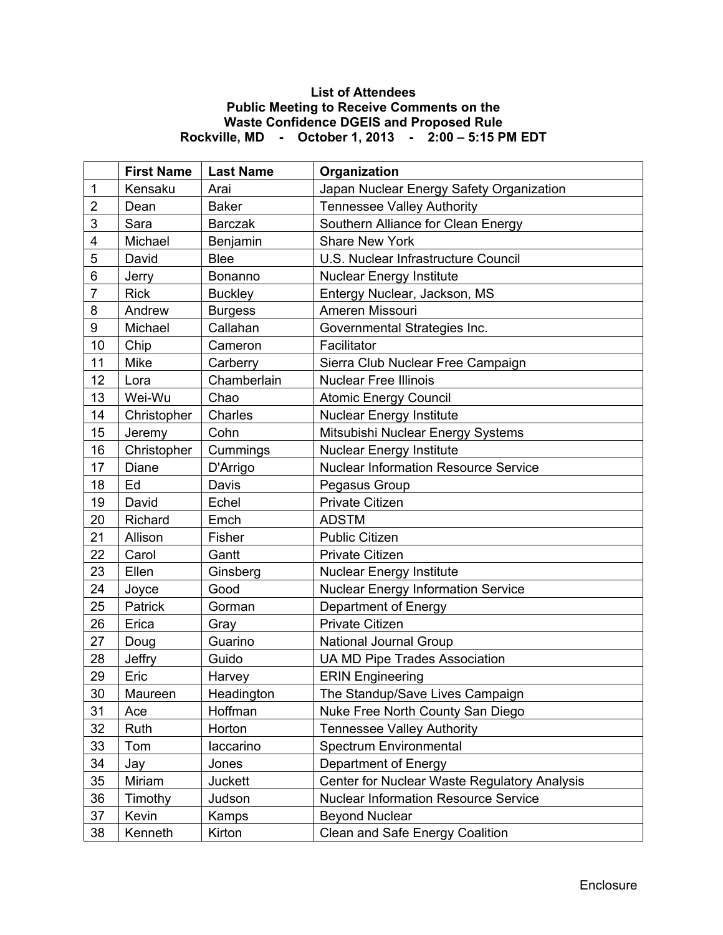## **List of Attendees Public Meeting to Receive Comments on the Waste Confidence DGEIS and Proposed Rule Rockville, MD - October 1, 2013 - 2:00 – 5:15 PM EDT**

|                | <b>First Name</b> | <b>Last Name</b> | Organization                                 |
|----------------|-------------------|------------------|----------------------------------------------|
| 1              | Kensaku           | Arai             | Japan Nuclear Energy Safety Organization     |
| $\overline{2}$ | Dean              | <b>Baker</b>     | <b>Tennessee Valley Authority</b>            |
| 3              | Sara              | <b>Barczak</b>   | Southern Alliance for Clean Energy           |
| 4              | Michael           | Benjamin         | <b>Share New York</b>                        |
| 5              | David             | <b>Blee</b>      | U.S. Nuclear Infrastructure Council          |
| 6              | Jerry             | Bonanno          | <b>Nuclear Energy Institute</b>              |
| $\overline{7}$ | <b>Rick</b>       | <b>Buckley</b>   | Entergy Nuclear, Jackson, MS                 |
| 8              | Andrew            | <b>Burgess</b>   | Ameren Missouri                              |
| 9              | Michael           | Callahan         | Governmental Strategies Inc.                 |
| 10             | Chip              | Cameron          | Facilitator                                  |
| 11             | Mike              | Carberry         | Sierra Club Nuclear Free Campaign            |
| 12             | Lora              | Chamberlain      | <b>Nuclear Free Illinois</b>                 |
| 13             | Wei-Wu            | Chao             | <b>Atomic Energy Council</b>                 |
| 14             | Christopher       | Charles          | <b>Nuclear Energy Institute</b>              |
| 15             | Jeremy            | Cohn             | Mitsubishi Nuclear Energy Systems            |
| 16             | Christopher       | Cummings         | <b>Nuclear Energy Institute</b>              |
| 17             | Diane             | D'Arrigo         | <b>Nuclear Information Resource Service</b>  |
| 18             | Ed                | Davis            | Pegasus Group                                |
| 19             | David             | Echel            | <b>Private Citizen</b>                       |
| 20             | Richard           | Emch             | <b>ADSTM</b>                                 |
| 21             | Allison           | Fisher           | <b>Public Citizen</b>                        |
| 22             | Carol             | Gantt            | <b>Private Citizen</b>                       |
| 23             | Ellen             | Ginsberg         | <b>Nuclear Energy Institute</b>              |
| 24             | Joyce             | Good             | <b>Nuclear Energy Information Service</b>    |
| 25             | Patrick           | Gorman           | Department of Energy                         |
| 26             | Erica             | Gray             | <b>Private Citizen</b>                       |
| 27             | Doug              | Guarino          | National Journal Group                       |
| 28             | Jeffry            | Guido            | <b>UA MD Pipe Trades Association</b>         |
| 29             | Eric              | Harvey           | <b>ERIN Engineering</b>                      |
| 30             | Maureen           | Headington       | The Standup/Save Lives Campaign              |
| 31             | Ace               | Hoffman          | Nuke Free North County San Diego             |
| 32             | Ruth              | Horton           | <b>Tennessee Valley Authority</b>            |
| 33             | Tom               | laccarino        | Spectrum Environmental                       |
| 34             | Jay               | Jones            | Department of Energy                         |
| 35             | Miriam            | Juckett          | Center for Nuclear Waste Regulatory Analysis |
| 36             | Timothy           | Judson           | <b>Nuclear Information Resource Service</b>  |
| 37             | Kevin             | Kamps            | <b>Beyond Nuclear</b>                        |
| 38             | Kenneth           | Kirton           | Clean and Safe Energy Coalition              |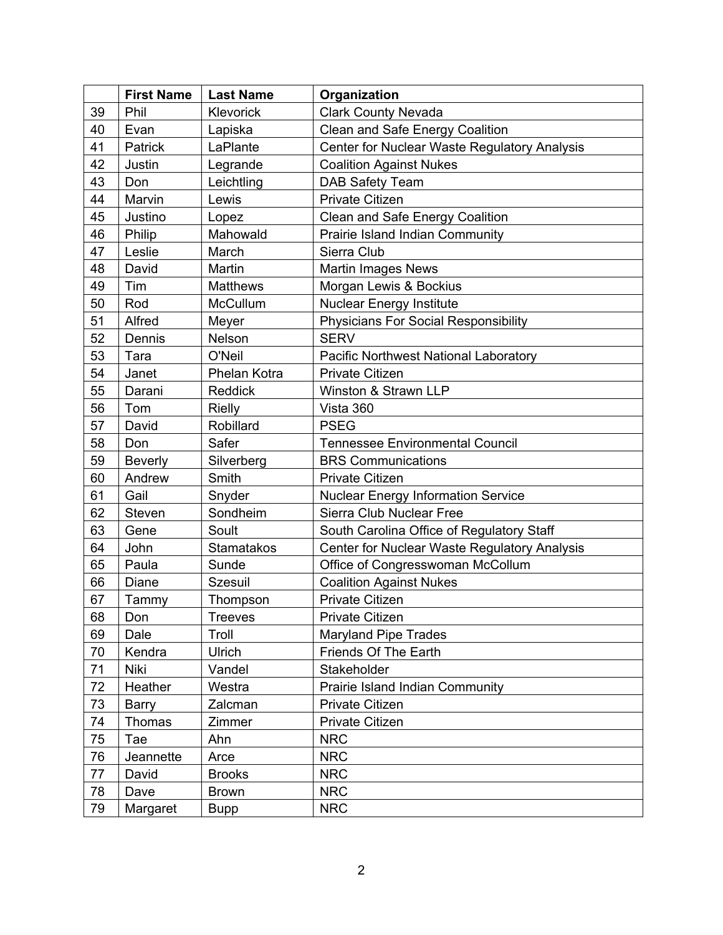|    | <b>First Name</b> | <b>Last Name</b>  | Organization                                 |
|----|-------------------|-------------------|----------------------------------------------|
| 39 | Phil              | Klevorick         | <b>Clark County Nevada</b>                   |
| 40 | Evan              | Lapiska           | Clean and Safe Energy Coalition              |
| 41 | Patrick           | LaPlante          | Center for Nuclear Waste Regulatory Analysis |
| 42 | Justin            | Legrande          | <b>Coalition Against Nukes</b>               |
| 43 | Don               | Leichtling        | DAB Safety Team                              |
| 44 | Marvin            | Lewis             | <b>Private Citizen</b>                       |
| 45 | Justino           | Lopez             | Clean and Safe Energy Coalition              |
| 46 | Philip            | Mahowald          | Prairie Island Indian Community              |
| 47 | Leslie            | March             | Sierra Club                                  |
| 48 | David             | Martin            | <b>Martin Images News</b>                    |
| 49 | Tim               | <b>Matthews</b>   | Morgan Lewis & Bockius                       |
| 50 | Rod               | <b>McCullum</b>   | <b>Nuclear Energy Institute</b>              |
| 51 | Alfred            | Meyer             | <b>Physicians For Social Responsibility</b>  |
| 52 | Dennis            | Nelson            | <b>SERV</b>                                  |
| 53 | Tara              | O'Neil            | Pacific Northwest National Laboratory        |
| 54 | Janet             | Phelan Kotra      | Private Citizen                              |
| 55 | Darani            | Reddick           | Winston & Strawn LLP                         |
| 56 | Tom               | <b>Rielly</b>     | Vista 360                                    |
| 57 | David             | Robillard         | <b>PSEG</b>                                  |
| 58 | Don               | Safer             | <b>Tennessee Environmental Council</b>       |
| 59 | <b>Beverly</b>    | Silverberg        | <b>BRS Communications</b>                    |
| 60 | Andrew            | Smith             | Private Citizen                              |
| 61 | Gail              | Snyder            | <b>Nuclear Energy Information Service</b>    |
| 62 | Steven            | Sondheim          | Sierra Club Nuclear Free                     |
| 63 | Gene              | Soult             | South Carolina Office of Regulatory Staff    |
| 64 | John              | <b>Stamatakos</b> | Center for Nuclear Waste Regulatory Analysis |
| 65 | Paula             | Sunde             | Office of Congresswoman McCollum             |
| 66 | Diane             | <b>Szesuil</b>    | <b>Coalition Against Nukes</b>               |
| 67 | Tammy             | Thompson          | Private Citizen                              |
| 68 | Don               | Treeves           | Private Citizen                              |
| 69 | Dale              | Troll             | <b>Maryland Pipe Trades</b>                  |
| 70 | Kendra            | <b>Ulrich</b>     | Friends Of The Earth                         |
| 71 | <b>Niki</b>       | Vandel            | Stakeholder                                  |
| 72 | Heather           | Westra            | Prairie Island Indian Community              |
| 73 | <b>Barry</b>      | Zalcman           | Private Citizen                              |
| 74 | Thomas            | Zimmer            | Private Citizen                              |
| 75 | Tae               | Ahn               | <b>NRC</b>                                   |
| 76 | Jeannette         | Arce              | <b>NRC</b>                                   |
| 77 | David             | <b>Brooks</b>     | <b>NRC</b>                                   |
| 78 | Dave              | <b>Brown</b>      | <b>NRC</b>                                   |
| 79 | Margaret          | <b>Bupp</b>       | <b>NRC</b>                                   |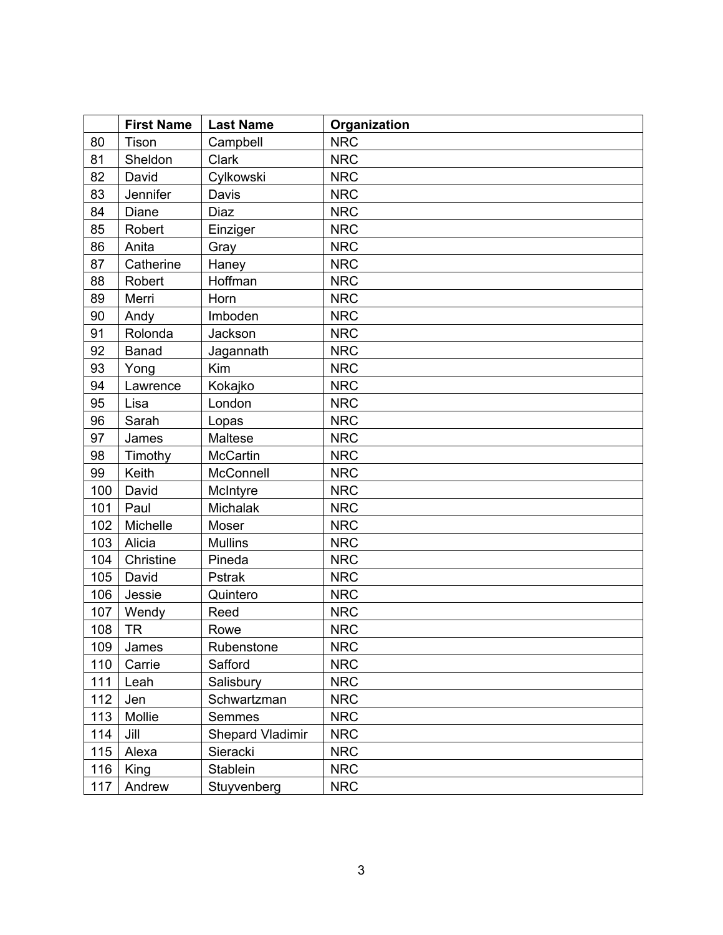|     | <b>First Name</b> | <b>Last Name</b> | Organization |
|-----|-------------------|------------------|--------------|
| 80  | Tison             | Campbell         | <b>NRC</b>   |
| 81  | Sheldon           | Clark            | <b>NRC</b>   |
| 82  | David             | Cylkowski        | <b>NRC</b>   |
| 83  | Jennifer          | Davis            | <b>NRC</b>   |
| 84  | Diane             | Diaz             | <b>NRC</b>   |
| 85  | Robert            | Einziger         | <b>NRC</b>   |
| 86  | Anita             | Gray             | <b>NRC</b>   |
| 87  | Catherine         | Haney            | <b>NRC</b>   |
| 88  | Robert            | Hoffman          | <b>NRC</b>   |
| 89  | Merri             | Horn             | <b>NRC</b>   |
| 90  | Andy              | Imboden          | <b>NRC</b>   |
| 91  | Rolonda           | Jackson          | <b>NRC</b>   |
| 92  | <b>Banad</b>      | Jagannath        | <b>NRC</b>   |
| 93  | Yong              | Kim              | <b>NRC</b>   |
| 94  | Lawrence          | Kokajko          | <b>NRC</b>   |
| 95  | Lisa              | London           | <b>NRC</b>   |
| 96  | Sarah             | Lopas            | <b>NRC</b>   |
| 97  | James             | Maltese          | <b>NRC</b>   |
| 98  | Timothy           | <b>McCartin</b>  | <b>NRC</b>   |
| 99  | Keith             | McConnell        | <b>NRC</b>   |
| 100 | David             | McIntyre         | <b>NRC</b>   |
| 101 | Paul              | Michalak         | <b>NRC</b>   |
| 102 | Michelle          | Moser            | <b>NRC</b>   |
| 103 | Alicia            | <b>Mullins</b>   | <b>NRC</b>   |
| 104 | Christine         | Pineda           | <b>NRC</b>   |
| 105 | David             | Pstrak           | <b>NRC</b>   |
| 106 | Jessie            | Quintero         | <b>NRC</b>   |
| 107 | Wendy             | Reed             | <b>NRC</b>   |
| 108 | <b>TR</b>         | Rowe             | <b>NRC</b>   |
| 109 | James             | Rubenstone       | <b>NRC</b>   |
| 110 | Carrie            | Safford          | <b>NRC</b>   |
| 111 | Leah              | Salisbury        | <b>NRC</b>   |
| 112 | Jen               | Schwartzman      | <b>NRC</b>   |
| 113 | Mollie            | Semmes           | <b>NRC</b>   |
| 114 | Jill              | Shepard Vladimir | <b>NRC</b>   |
| 115 | Alexa             | Sieracki         | <b>NRC</b>   |
| 116 | King              | Stablein         | <b>NRC</b>   |
| 117 | Andrew            | Stuyvenberg      | <b>NRC</b>   |